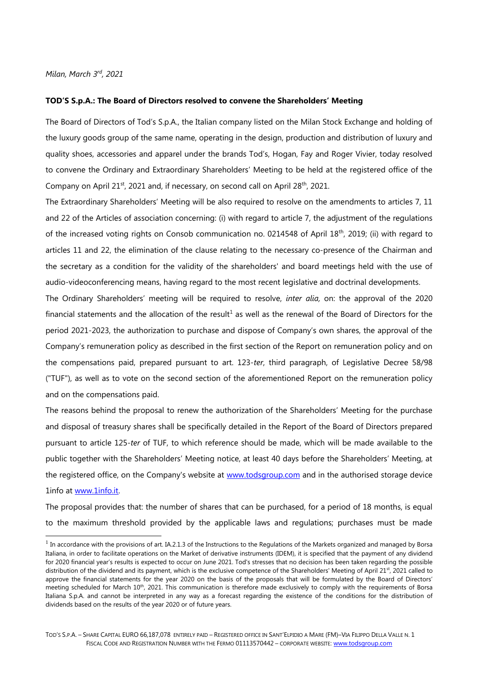*Milan, March 3rd, 2021*

## **TOD'S S.p.A.: The Board of Directors resolved to convene the Shareholders' Meeting**

The Board of Directors of Tod's S.p.A., the Italian company listed on the Milan Stock Exchange and holding of the luxury goods group of the same name, operating in the design, production and distribution of luxury and quality shoes, accessories and apparel under the brands Tod's, Hogan, Fay and Roger Vivier, today resolved to convene the Ordinary and Extraordinary Shareholders' Meeting to be held at the registered office of the Company on April 21<sup>st</sup>, 2021 and, if necessary, on second call on April 28<sup>th</sup>, 2021.

The Extraordinary Shareholders' Meeting will be also required to resolve on the amendments to articles 7, 11 and 22 of the Articles of association concerning: (i) with regard to article 7, the adjustment of the regulations of the increased voting rights on Consob communication no. 0214548 of April 18<sup>th</sup>, 2019; (ii) with regard to articles 11 and 22, the elimination of the clause relating to the necessary co-presence of the Chairman and the secretary as a condition for the validity of the shareholders' and board meetings held with the use of audio-videoconferencing means, having regard to the most recent legislative and doctrinal developments.

The Ordinary Shareholders' meeting will be required to resolve, *inter alia,* on: the approval of the 2020 financial statements and the allocation of the result<sup>1</sup> as well as the renewal of the Board of Directors for the period 2021-2023, the authorization to purchase and dispose of Company's own shares, the approval of the Company's remuneration policy as described in the first section of the Report on remuneration policy and on the compensations paid, prepared pursuant to art. 123-*ter*, third paragraph, of Legislative Decree 58/98 ("TUF"), as well as to vote on the second section of the aforementioned Report on the remuneration policy and on the compensations paid.

The reasons behind the proposal to renew the authorization of the Shareholders' Meeting for the purchase and disposal of treasury shares shall be specifically detailed in the Report of the Board of Directors prepared pursuant to article 125-*ter* of TUF, to which reference should be made, which will be made available to the public together with the Shareholders' Meeting notice, at least 40 days before the Shareholders' Meeting, at the registered office, on the Company's website at www.todsgroup.com and in the authorised storage device 1info at www.1info.it.

The proposal provides that: the number of shares that can be purchased, for a period of 18 months, is equal to the maximum threshold provided by the applicable laws and regulations; purchases must be made

 $<sup>1</sup>$  In accordance with the provisions of art. IA.2.1.3 of the Instructions to the Regulations of the Markets organized and managed by Borsa</sup> Italiana, in order to facilitate operations on the Market of derivative instruments (IDEM), it is specified that the payment of any dividend for 2020 financial year's results is expected to occur on June 2021. Tod's stresses that no decision has been taken regarding the possible distribution of the dividend and its payment, which is the exclusive competence of the Shareholders' Meeting of April 21st, 2021 called to approve the financial statements for the year 2020 on the basis of the proposals that will be formulated by the Board of Directors' meeting scheduled for March 10<sup>th</sup>, 2021. This communication is therefore made exclusively to comply with the requirements of Borsa Italiana S.p.A. and cannot be interpreted in any way as a forecast regarding the existence of the conditions for the distribution of dividends based on the results of the year 2020 or of future years.